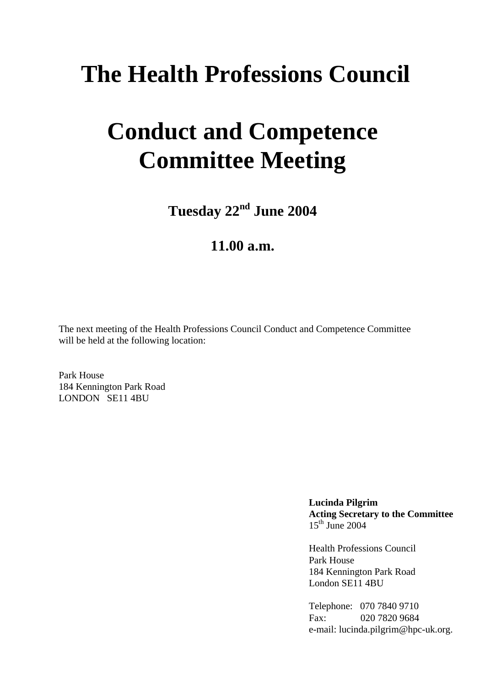# **The Health Professions Council**

# **Conduct and Competence Committee Meeting**

**Tuesday 22nd June 2004**

## **11.00 a.m.**

The next meeting of the Health Professions Council Conduct and Competence Committee will be held at the following location:

Park House 184 Kennington Park Road LONDON SE11 4BU

> **Lucinda Pilgrim Acting Secretary to the Committee**  $15<sup>th</sup>$  June 2004

Health Professions Council Park House 184 Kennington Park Road London SE11 4BU

Telephone: 070 7840 9710 Fax: 020 7820 9684 e-mail: lucinda.pilgrim@hpc-uk.org.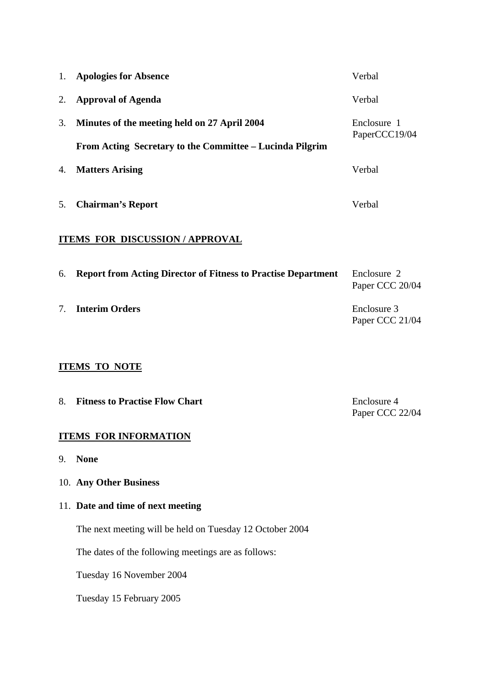| 1.                                   | <b>Apologies for Absence</b>                                         | Verbal                         |
|--------------------------------------|----------------------------------------------------------------------|--------------------------------|
| 2.                                   | <b>Approval of Agenda</b>                                            | Verbal                         |
| 3.                                   | Minutes of the meeting held on 27 April 2004                         | Enclosure 1                    |
|                                      | From Acting Secretary to the Committee – Lucinda Pilgrim             | PaperCCC19/04                  |
| 4.                                   | <b>Matters Arising</b>                                               | Verbal                         |
| 5.                                   | <b>Chairman's Report</b>                                             | Verbal                         |
| <b>ITEMS FOR DISCUSSION/APPROVAL</b> |                                                                      |                                |
| 6.                                   | <b>Report from Acting Director of Fitness to Practise Department</b> | Enclosure 2<br>Paper CCC 20/04 |
| 7.                                   | <b>Interim Orders</b>                                                | Enclosure 3<br>Paper CCC 21/04 |
| <b>ITEMS TO NOTE</b>                 |                                                                      |                                |
| 8.                                   | <b>Fitness to Practise Flow Chart</b>                                | Enclosure 4<br>Paper CCC 22/04 |

## **ITEMS FOR INFORMATION**

9. **None**

## 10. **Any Other Business**

## 11. **Date and time of next meeting**

The next meeting will be held on Tuesday 12 October 2004

The dates of the following meetings are as follows:

Tuesday 16 November 2004

Tuesday 15 February 2005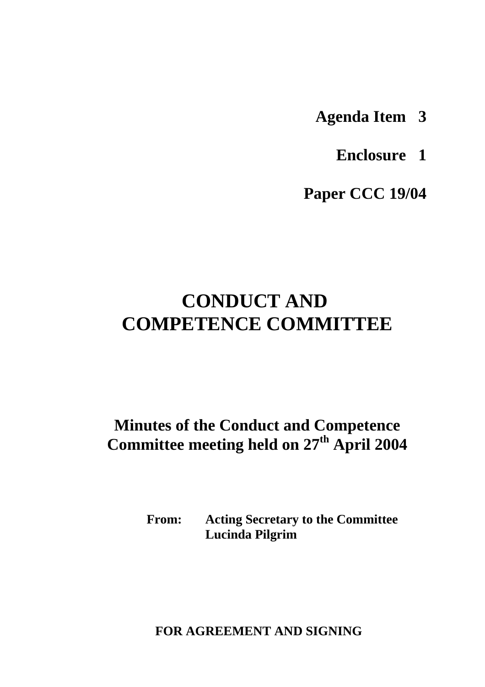- **Agenda Item 3**
	- **Enclosure 1**

**Paper CCC 19/04**

## **CONDUCT AND COMPETENCE COMMITTEE**

## **Minutes of the Conduct and Competence Committee meeting held on 27th April 2004**

**From: Acting Secretary to the Committee Lucinda Pilgrim**

 **FOR AGREEMENT AND SIGNING**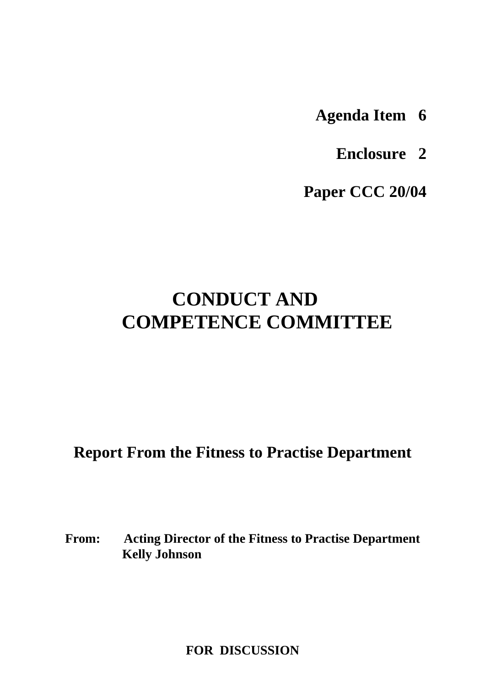- **Agenda Item 6**
	- **Enclosure 2**

**Paper CCC 20/04**

## **CONDUCT AND COMPETENCE COMMITTEE**

**Report From the Fitness to Practise Department**

**From: Acting Director of the Fitness to Practise Department Kelly Johnson**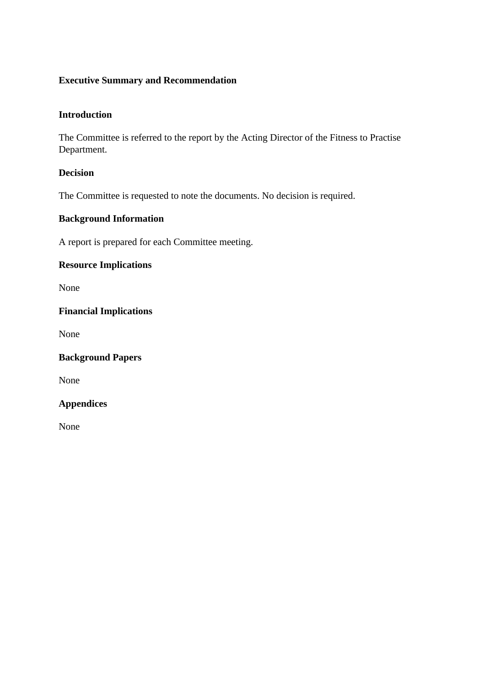## **Executive Summary and Recommendation**

## **Introduction**

The Committee is referred to the report by the Acting Director of the Fitness to Practise Department.

## **Decision**

The Committee is requested to note the documents. No decision is required.

## **Background Information**

A report is prepared for each Committee meeting.

## **Resource Implications**

None

## **Financial Implications**

None

#### **Background Papers**

None

## **Appendices**

None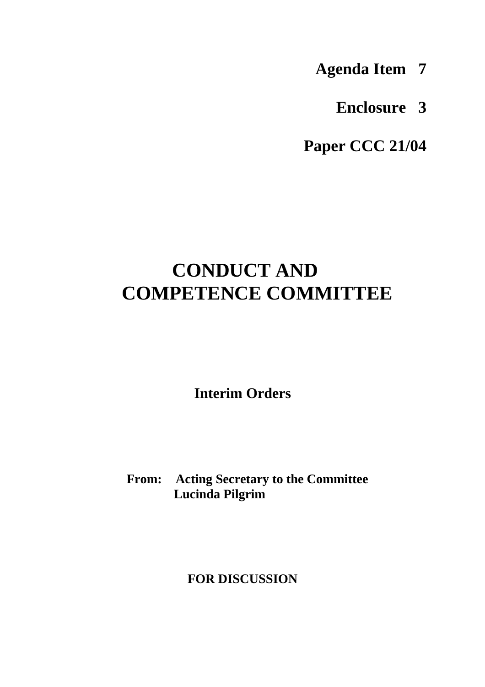- **Agenda Item 7**
	- **Enclosure 3**

**Paper CCC 21/04**

## **CONDUCT AND COMPETENCE COMMITTEE**

**Interim Orders**

## **From: Acting Secretary to the Committee Lucinda Pilgrim**

## **FOR DISCUSSION**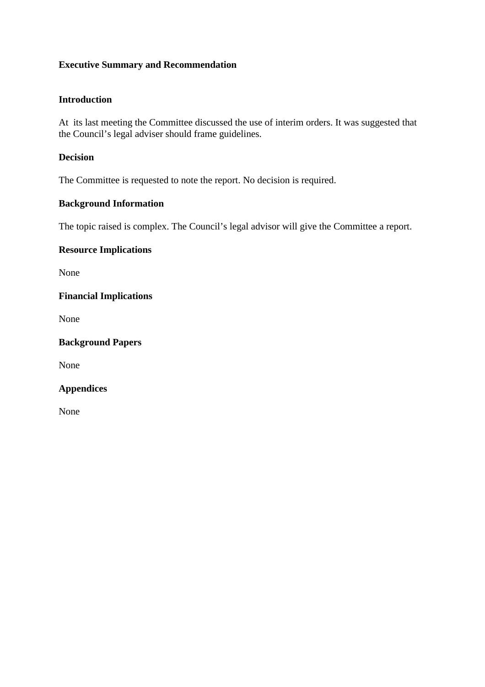## **Executive Summary and Recommendation**

## **Introduction**

At its last meeting the Committee discussed the use of interim orders. It was suggested that the Council's legal adviser should frame guidelines.

## **Decision**

The Committee is requested to note the report. No decision is required.

## **Background Information**

The topic raised is complex. The Council's legal advisor will give the Committee a report.

#### **Resource Implications**

None

## **Financial Implications**

None

**Background Papers**

None

#### **Appendices**

None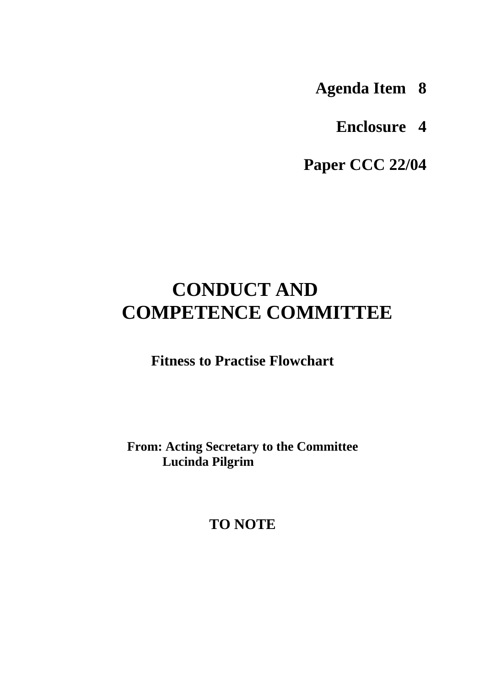**Agenda Item 8**

**Enclosure 4**

**Paper CCC 22/04**

## **CONDUCT AND COMPETENCE COMMITTEE**

**Fitness to Practise Flowchart**

**From: Acting Secretary to the Committee Lucinda Pilgrim**

**TO NOTE**